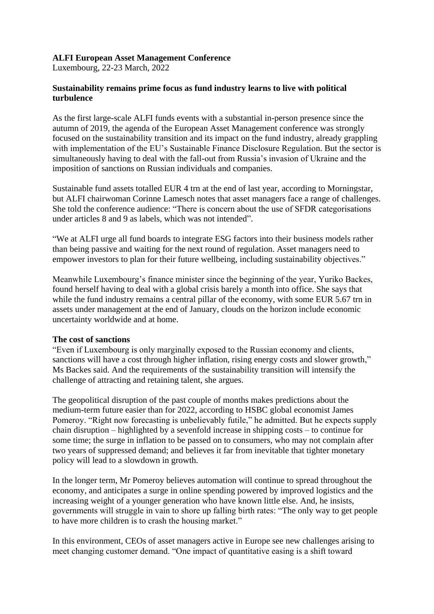## **ALFI European Asset Management Conference**

Luxembourg, 22-23 March, 2022

## **Sustainability remains prime focus as fund industry learns to live with political turbulence**

As the first large-scale ALFI funds events with a substantial in-person presence since the autumn of 2019, the agenda of the European Asset Management conference was strongly focused on the sustainability transition and its impact on the fund industry, already grappling with implementation of the EU's Sustainable Finance Disclosure Regulation. But the sector is simultaneously having to deal with the fall-out from Russia's invasion of Ukraine and the imposition of sanctions on Russian individuals and companies.

Sustainable fund assets totalled EUR 4 trn at the end of last year, according to Morningstar, but ALFI chairwoman Corinne Lamesch notes that asset managers face a range of challenges. She told the conference audience: "There is concern about the use of SFDR categorisations under articles 8 and 9 as labels, which was not intended".

"We at ALFI urge all fund boards to integrate ESG factors into their business models rather than being passive and waiting for the next round of regulation. Asset managers need to empower investors to plan for their future wellbeing, including sustainability objectives."

Meanwhile Luxembourg's finance minister since the beginning of the year, Yuriko Backes, found herself having to deal with a global crisis barely a month into office. She says that while the fund industry remains a central pillar of the economy, with some EUR 5.67 trn in assets under management at the end of January, clouds on the horizon include economic uncertainty worldwide and at home.

#### **The cost of sanctions**

"Even if Luxembourg is only marginally exposed to the Russian economy and clients, sanctions will have a cost through higher inflation, rising energy costs and slower growth," Ms Backes said. And the requirements of the sustainability transition will intensify the challenge of attracting and retaining talent, she argues.

The geopolitical disruption of the past couple of months makes predictions about the medium-term future easier than for 2022, according to HSBC global economist James Pomeroy. "Right now forecasting is unbelievably futile," he admitted. But he expects supply chain disruption – highlighted by a sevenfold increase in shipping costs – to continue for some time; the surge in inflation to be passed on to consumers, who may not complain after two years of suppressed demand; and believes it far from inevitable that tighter monetary policy will lead to a slowdown in growth.

In the longer term, Mr Pomeroy believes automation will continue to spread throughout the economy, and anticipates a surge in online spending powered by improved logistics and the increasing weight of a younger generation who have known little else. And, he insists, governments will struggle in vain to shore up falling birth rates: "The only way to get people to have more children is to crash the housing market."

In this environment, CEOs of asset managers active in Europe see new challenges arising to meet changing customer demand. "One impact of quantitative easing is a shift toward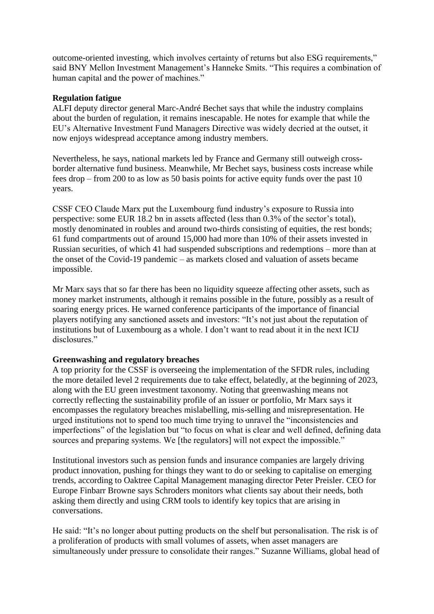outcome-oriented investing, which involves certainty of returns but also ESG requirements," said BNY Mellon Investment Management's Hanneke Smits. "This requires a combination of human capital and the power of machines."

## **Regulation fatigue**

ALFI deputy director general Marc-André Bechet says that while the industry complains about the burden of regulation, it remains inescapable. He notes for example that while the EU's Alternative Investment Fund Managers Directive was widely decried at the outset, it now enjoys widespread acceptance among industry members.

Nevertheless, he says, national markets led by France and Germany still outweigh crossborder alternative fund business. Meanwhile, Mr Bechet says, business costs increase while fees drop – from 200 to as low as 50 basis points for active equity funds over the past 10 years.

CSSF CEO Claude Marx put the Luxembourg fund industry's exposure to Russia into perspective: some EUR 18.2 bn in assets affected (less than 0.3% of the sector's total), mostly denominated in roubles and around two-thirds consisting of equities, the rest bonds; 61 fund compartments out of around 15,000 had more than 10% of their assets invested in Russian securities, of which 41 had suspended subscriptions and redemptions – more than at the onset of the Covid-19 pandemic – as markets closed and valuation of assets became impossible.

Mr Marx says that so far there has been no liquidity squeeze affecting other assets, such as money market instruments, although it remains possible in the future, possibly as a result of soaring energy prices. He warned conference participants of the importance of financial players notifying any sanctioned assets and investors: "It's not just about the reputation of institutions but of Luxembourg as a whole. I don't want to read about it in the next ICIJ disclosures."

#### **Greenwashing and regulatory breaches**

A top priority for the CSSF is overseeing the implementation of the SFDR rules, including the more detailed level 2 requirements due to take effect, belatedly, at the beginning of 2023, along with the EU green investment taxonomy. Noting that greenwashing means not correctly reflecting the sustainability profile of an issuer or portfolio, Mr Marx says it encompasses the regulatory breaches mislabelling, mis-selling and misrepresentation. He urged institutions not to spend too much time trying to unravel the "inconsistencies and imperfections" of the legislation but "to focus on what is clear and well defined, defining data sources and preparing systems. We [the regulators] will not expect the impossible."

Institutional investors such as pension funds and insurance companies are largely driving product innovation, pushing for things they want to do or seeking to capitalise on emerging trends, according to Oaktree Capital Management managing director Peter Preisler. CEO for Europe Finbarr Browne says Schroders monitors what clients say about their needs, both asking them directly and using CRM tools to identify key topics that are arising in conversations.

He said: "It's no longer about putting products on the shelf but personalisation. The risk is of a proliferation of products with small volumes of assets, when asset managers are simultaneously under pressure to consolidate their ranges." Suzanne Williams, global head of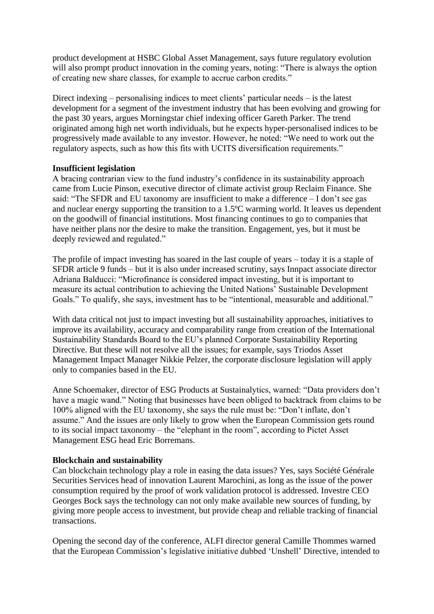product development at HSBC Global Asset Management, says future regulatory evolution will also prompt product innovation in the coming years, noting: "There is always the option of creating new share classes, for example to accrue carbon credits."

Direct indexing – personalising indices to meet clients' particular needs – is the latest development for a segment of the investment industry that has been evolving and growing for the past 30 years, argues Morningstar chief indexing officer Gareth Parker. The trend originated among high net worth individuals, but he expects hyper-personalised indices to be progressively made available to any investor. However, he noted: "We need to work out the regulatory aspects, such as how this fits with UCITS diversification requirements."

#### **Insufficient legislation**

A bracing contrarian view to the fund industry's confidence in its sustainability approach came from Lucie Pinson, executive director of climate activist group Reclaim Finance. She said: "The SFDR and EU taxonomy are insufficient to make a difference – I don't see gas and nuclear energy supporting the transition to a 1.5ºC warming world. It leaves us dependent on the goodwill of financial institutions. Most financing continues to go to companies that have neither plans nor the desire to make the transition. Engagement, yes, but it must be deeply reviewed and regulated."

The profile of impact investing has soared in the last couple of years – today it is a staple of SFDR article 9 funds – but it is also under increased scrutiny, says Innpact associate director Adriana Balducci: "Microfinance is considered impact investing, but it is important to measure its actual contribution to achieving the United Nations' Sustainable Development Goals." To qualify, she says, investment has to be "intentional, measurable and additional."

With data critical not just to impact investing but all sustainability approaches, initiatives to improve its availability, accuracy and comparability range from creation of the International Sustainability Standards Board to the EU's planned Corporate Sustainability Reporting Directive. But these will not resolve all the issues; for example, says Triodos Asset Management Impact Manager Nikkie Pelzer, the corporate disclosure legislation will apply only to companies based in the EU.

Anne Schoemaker, director of ESG Products at Sustainalytics, warned: "Data providers don't have a magic wand." Noting that businesses have been obliged to backtrack from claims to be 100% aligned with the EU taxonomy, she says the rule must be: "Don't inflate, don't assume." And the issues are only likely to grow when the European Commission gets round to its social impact taxonomy – the "elephant in the room", according to Pictet Asset Management ESG head Eric Borremans.

# **Blockchain and sustainability**

Can blockchain technology play a role in easing the data issues? Yes, says Société Générale Securities Services head of innovation Laurent Marochini, as long as the issue of the power consumption required by the proof of work validation protocol is addressed. Investre CEO Georges Bock says the technology can not only make available new sources of funding, by giving more people access to investment, but provide cheap and reliable tracking of financial transactions.

Opening the second day of the conference, ALFI director general Camille Thommes warned that the European Commission's legislative initiative dubbed 'Unshell' Directive, intended to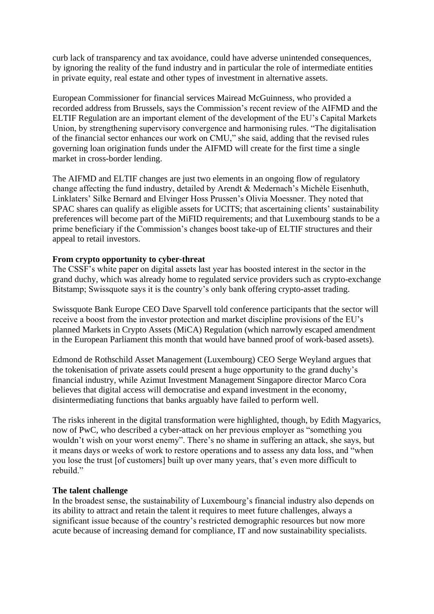curb lack of transparency and tax avoidance, could have adverse unintended consequences, by ignoring the reality of the fund industry and in particular the role of intermediate entities in private equity, real estate and other types of investment in alternative assets.

European Commissioner for financial services Mairead McGuinness, who provided a recorded address from Brussels, says the Commission's recent review of the AIFMD and the ELTIF Regulation are an important element of the development of the EU's Capital Markets Union, by strengthening supervisory convergence and harmonising rules. "The digitalisation of the financial sector enhances our work on CMU," she said, adding that the revised rules governing loan origination funds under the AIFMD will create for the first time a single market in cross-border lending.

The AIFMD and ELTIF changes are just two elements in an ongoing flow of regulatory change affecting the fund industry, detailed by Arendt & Medernach's Michèle Eisenhuth, Linklaters' Silke Bernard and Elvinger Hoss Prussen's Olivia Moessner. They noted that SPAC shares can qualify as eligible assets for UCITS; that ascertaining clients' sustainability preferences will become part of the MiFID requirements; and that Luxembourg stands to be a prime beneficiary if the Commission's changes boost take-up of ELTIF structures and their appeal to retail investors.

#### **From crypto opportunity to cyber-threat**

The CSSF's white paper on digital assets last year has boosted interest in the sector in the grand duchy, which was already home to regulated service providers such as crypto-exchange Bitstamp; Swissquote says it is the country's only bank offering crypto-asset trading.

Swissquote Bank Europe CEO Dave Sparvell told conference participants that the sector will receive a boost from the investor protection and market discipline provisions of the EU's planned Markets in Crypto Assets (MiCA) Regulation (which narrowly escaped amendment in the European Parliament this month that would have banned proof of work-based assets).

Edmond de Rothschild Asset Management (Luxembourg) CEO Serge Weyland argues that the tokenisation of private assets could present a huge opportunity to the grand duchy's financial industry, while Azimut Investment Management Singapore director Marco Cora believes that digital access will democratise and expand investment in the economy, disintermediating functions that banks arguably have failed to perform well.

The risks inherent in the digital transformation were highlighted, though, by Edith Magyarics, now of PwC, who described a cyber-attack on her previous employer as "something you wouldn't wish on your worst enemy". There's no shame in suffering an attack, she says, but it means days or weeks of work to restore operations and to assess any data loss, and "when you lose the trust [of customers] built up over many years, that's even more difficult to rebuild."

#### **The talent challenge**

In the broadest sense, the sustainability of Luxembourg's financial industry also depends on its ability to attract and retain the talent it requires to meet future challenges, always a significant issue because of the country's restricted demographic resources but now more acute because of increasing demand for compliance, IT and now sustainability specialists.